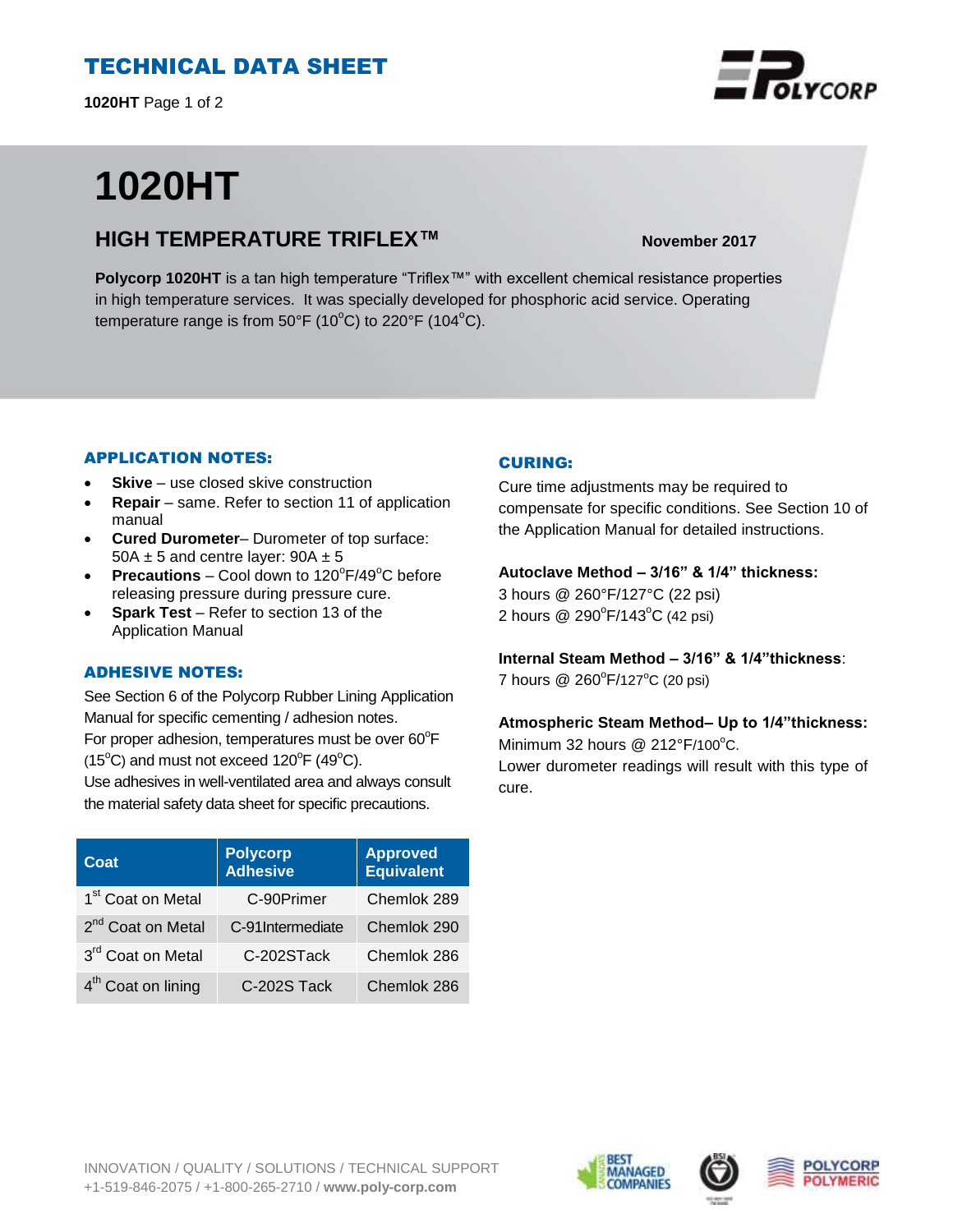# TECHNICAL DATA SHEET

**1020HT** Page 1 of 2

# **1020HT**

## **HIGH TEMPERATURE TRIFLEX™ November 2017**

**Polycorp 1020HT** is a tan high temperature "Triflex™" with excellent chemical resistance properties in high temperature services. It was specially developed for phosphoric acid service. Operating temperature range is from 50°F (10 $^{\circ}$ C) to 220°F (104 $^{\circ}$ C).

#### APPLICATION NOTES:

- **Skive** use closed skive construction
- **Repair**  same. Refer to section 11 of application manual
- **Cured Durometer** Durometer of top surface: 50A  $\pm$  5 and centre layer: 90A  $\pm$  5
- **Precautions**  $-$  Cool down to  $120^{\circ}F/49^{\circ}C$  before releasing pressure during pressure cure.
- **Spark Test**  Refer to section 13 of the Application Manual

### ADHESIVE NOTES:

See Section 6 of the Polycorp Rubber Lining Application Manual for specific cementing / adhesion notes. For proper adhesion, temperatures must be over  $60^{\circ}$ F  $(15^{\circ}C)$  and must not exceed  $120^{\circ}F(49^{\circ}C)$ .

Use adhesives in well-ventilated area and always consult the material safety data sheet for specific precautions.

| Coat                           | <b>Polycorp</b><br><b>Adhesive</b> | <b>Approved</b><br>Equivalent |
|--------------------------------|------------------------------------|-------------------------------|
| 1 <sup>st</sup> Coat on Metal  | C-90Primer                         | Chemlok 289                   |
| 2 <sup>nd</sup> Coat on Metal  | C-91Intermediate                   | Chemlok 290                   |
| 3rd Coat on Metal              | C-202STack                         | Chemlok 286                   |
| 4 <sup>th</sup> Coat on lining | C-202S Tack                        | Chemlok 286                   |

#### CURING:

Cure time adjustments may be required to compensate for specific conditions. See Section 10 of the Application Manual for detailed instructions.

#### **Autoclave Method – 3/16" & 1/4" thickness:**

3 hours @ 260°F/127°C (22 psi) 2 hours @ 290°F/143°C (42 psi)

**Internal Steam Method – 3/16" & 1/4"thickness**: 7 hours @ 260°F/127°C (20 psi)

### **Atmospheric Steam Method– Up to 1/4"thickness:**

Minimum 32 hours  $@$  212°F/100°C. Lower durometer readings will result with this type of cure.